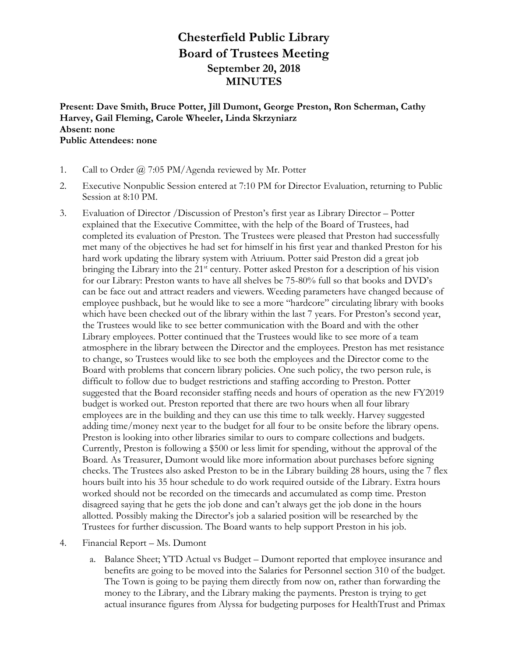## **Chesterfield Public Library Board of Trustees Meeting September 20, 2018 MINUTES**

**Present: Dave Smith, Bruce Potter, Jill Dumont, George Preston, Ron Scherman, Cathy Harvey, Gail Fleming, Carole Wheeler, Linda Skrzyniarz Absent: none Public Attendees: none**

- 1. Call to Order @ 7:05 PM/Agenda reviewed by Mr. Potter
- 2. Executive Nonpublic Session entered at 7:10 PM for Director Evaluation, returning to Public Session at 8:10 PM.
- 3. Evaluation of Director /Discussion of Preston's first year as Library Director Potter explained that the Executive Committee, with the help of the Board of Trustees, had completed its evaluation of Preston. The Trustees were pleased that Preston had successfully met many of the objectives he had set for himself in his first year and thanked Preston for his hard work updating the library system with Atriuum. Potter said Preston did a great job bringing the Library into the 21<sup>st</sup> century. Potter asked Preston for a description of his vision for our Library: Preston wants to have all shelves be 75-80% full so that books and DVD's can be face out and attract readers and viewers. Weeding parameters have changed because of employee pushback, but he would like to see a more "hardcore" circulating library with books which have been checked out of the library within the last 7 years. For Preston's second year, the Trustees would like to see better communication with the Board and with the other Library employees. Potter continued that the Trustees would like to see more of a team atmosphere in the library between the Director and the employees. Preston has met resistance to change, so Trustees would like to see both the employees and the Director come to the Board with problems that concern library policies. One such policy, the two person rule, is difficult to follow due to budget restrictions and staffing according to Preston. Potter suggested that the Board reconsider staffing needs and hours of operation as the new FY2019 budget is worked out. Preston reported that there are two hours when all four library employees are in the building and they can use this time to talk weekly. Harvey suggested adding time/money next year to the budget for all four to be onsite before the library opens. Preston is looking into other libraries similar to ours to compare collections and budgets. Currently, Preston is following a \$500 or less limit for spending, without the approval of the Board. As Treasurer, Dumont would like more information about purchases before signing checks. The Trustees also asked Preston to be in the Library building 28 hours, using the 7 flex hours built into his 35 hour schedule to do work required outside of the Library. Extra hours worked should not be recorded on the timecards and accumulated as comp time. Preston disagreed saying that he gets the job done and can't always get the job done in the hours allotted. Possibly making the Director's job a salaried position will be researched by the Trustees for further discussion. The Board wants to help support Preston in his job.
- 4. Financial Report Ms. Dumont
	- a. Balance Sheet; YTD Actual vs Budget Dumont reported that employee insurance and benefits are going to be moved into the Salaries for Personnel section 310 of the budget. The Town is going to be paying them directly from now on, rather than forwarding the money to the Library, and the Library making the payments. Preston is trying to get actual insurance figures from Alyssa for budgeting purposes for HealthTrust and Primax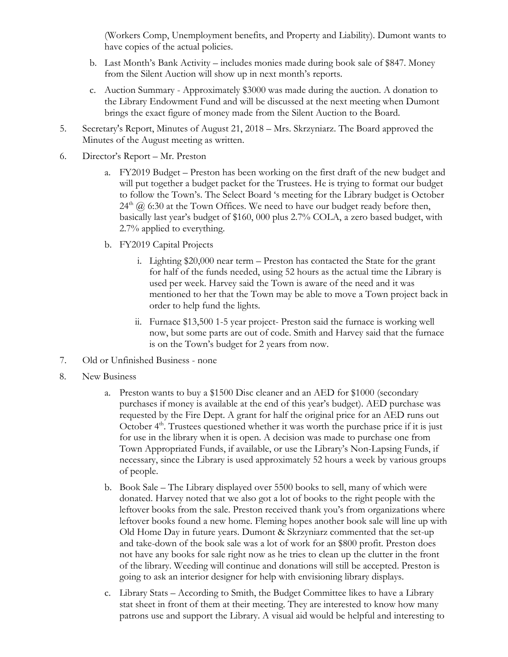(Workers Comp, Unemployment benefits, and Property and Liability). Dumont wants to have copies of the actual policies.

- b. Last Month's Bank Activity includes monies made during book sale of \$847. Money from the Silent Auction will show up in next month's reports.
- c. Auction Summary Approximately \$3000 was made during the auction. A donation to the Library Endowment Fund and will be discussed at the next meeting when Dumont brings the exact figure of money made from the Silent Auction to the Board.
- 5. Secretary's Report, Minutes of August 21, 2018 Mrs. Skrzyniarz. The Board approved the Minutes of the August meeting as written.
- 6. Director's Report Mr. Preston
	- a. FY2019 Budget Preston has been working on the first draft of the new budget and will put together a budget packet for the Trustees. He is trying to format our budget to follow the Town's. The Select Board 's meeting for the Library budget is October  $24<sup>th</sup>$  ( $\ddot{\theta}$ ) 6:30 at the Town Offices. We need to have our budget ready before then, basically last year's budget of \$160, 000 plus 2.7% COLA, a zero based budget, with 2.7% applied to everything.
	- b. FY2019 Capital Projects
		- i. Lighting \$20,000 near term Preston has contacted the State for the grant for half of the funds needed, using 52 hours as the actual time the Library is used per week. Harvey said the Town is aware of the need and it was mentioned to her that the Town may be able to move a Town project back in order to help fund the lights.
		- ii. Furnace \$13,500 1-5 year project- Preston said the furnace is working well now, but some parts are out of code. Smith and Harvey said that the furnace is on the Town's budget for 2 years from now.
- 7. Old or Unfinished Business none
- 8. New Business
	- a. Preston wants to buy a \$1500 Disc cleaner and an AED for \$1000 (secondary purchases if money is available at the end of this year's budget). AED purchase was requested by the Fire Dept. A grant for half the original price for an AED runs out October  $4<sup>th</sup>$ . Trustees questioned whether it was worth the purchase price if it is just for use in the library when it is open. A decision was made to purchase one from Town Appropriated Funds, if available, or use the Library's Non-Lapsing Funds, if necessary, since the Library is used approximately 52 hours a week by various groups of people.
	- b. Book Sale The Library displayed over 5500 books to sell, many of which were donated. Harvey noted that we also got a lot of books to the right people with the leftover books from the sale. Preston received thank you's from organizations where leftover books found a new home. Fleming hopes another book sale will line up with Old Home Day in future years. Dumont & Skrzyniarz commented that the set-up and take-down of the book sale was a lot of work for an \$800 profit. Preston does not have any books for sale right now as he tries to clean up the clutter in the front of the library. Weeding will continue and donations will still be accepted. Preston is going to ask an interior designer for help with envisioning library displays.
	- c. Library Stats According to Smith, the Budget Committee likes to have a Library stat sheet in front of them at their meeting. They are interested to know how many patrons use and support the Library. A visual aid would be helpful and interesting to